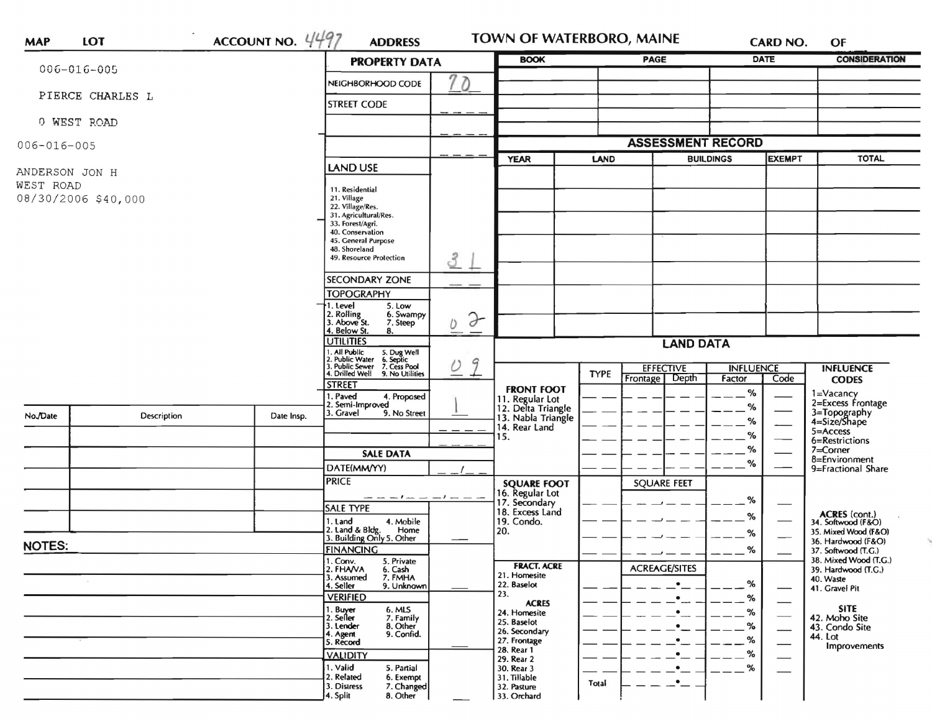| <b>MAP</b>                       | LOT                | ACCOUNT NO. $4497$ | <b>ADDRESS</b>                                                                                                            |                                                             | TOWN OF WATERBORO, MAINE                             | <b>CARD NO.</b>                    | OF                                                                |
|----------------------------------|--------------------|--------------------|---------------------------------------------------------------------------------------------------------------------------|-------------------------------------------------------------|------------------------------------------------------|------------------------------------|-------------------------------------------------------------------|
| $006 - 016 - 005$                |                    |                    | <b>PROPERTY DATA</b>                                                                                                      | <b>BOOK</b>                                                 | PAGE                                                 | <b>DATE</b>                        | <b>CONSIDERATION</b>                                              |
|                                  | PIERCE CHARLES L   |                    | 70<br>NEIGHBORHOOD CODE                                                                                                   |                                                             |                                                      |                                    |                                                                   |
|                                  |                    |                    | <b>STREET CODE</b>                                                                                                        |                                                             |                                                      |                                    |                                                                   |
| 0 WEST ROAD                      |                    |                    |                                                                                                                           |                                                             |                                                      |                                    |                                                                   |
| $006 - 016 - 005$                |                    |                    |                                                                                                                           |                                                             | <b>ASSESSMENT RECORD</b>                             |                                    |                                                                   |
|                                  |                    |                    | <b>LAND USE</b>                                                                                                           | <b>YEAR</b>                                                 | LAND                                                 | <b>EXEMPT</b><br><b>BUILDINGS</b>  | <b>TOTAL</b>                                                      |
| ANDERSON JON H                   |                    |                    |                                                                                                                           |                                                             |                                                      |                                    |                                                                   |
| WEST ROAD<br>08/30/2006 \$40,000 |                    |                    | 11. Residential<br>21. Village                                                                                            |                                                             |                                                      |                                    |                                                                   |
|                                  |                    |                    | 22. Village/Res.<br>31. Agricultural/Res.                                                                                 |                                                             |                                                      |                                    |                                                                   |
|                                  |                    |                    | 33. Forest/Agri.<br>40. Conservation                                                                                      |                                                             |                                                      |                                    |                                                                   |
|                                  |                    |                    | 45. General Purpose                                                                                                       |                                                             |                                                      |                                    |                                                                   |
|                                  |                    |                    | 48. Shoreland<br>3<br>49. Resource Protection                                                                             |                                                             |                                                      |                                    |                                                                   |
|                                  |                    |                    | <b>SECONDARY ZONE</b>                                                                                                     |                                                             |                                                      |                                    |                                                                   |
|                                  |                    |                    | <b>TOPOGRAPHY</b>                                                                                                         |                                                             |                                                      |                                    |                                                                   |
|                                  |                    |                    | 1. Level<br>5. Low<br>6. Swampy                                                                                           |                                                             |                                                      |                                    |                                                                   |
|                                  |                    |                    | 2. Rolling<br>3. Above St.<br>$\partial$<br>7. Steep<br>O<br>4. Below St.<br>8.                                           |                                                             |                                                      |                                    |                                                                   |
|                                  |                    | <b>UTILITIES</b>   | <b>LAND DATA</b>                                                                                                          |                                                             |                                                      |                                    |                                                                   |
|                                  |                    |                    | 1. All Public 5. Dug Well<br>2. Public Water 6. Septic<br>3. Public Sewer 7. Cess Pool<br>4. Drilled Well 9. No Utilities |                                                             |                                                      |                                    |                                                                   |
|                                  |                    |                    | 9<br>$\overline{\mathcal{O}}$                                                                                             |                                                             | <b>EFFECTIVE</b><br><b>TYPE</b><br>Depth<br>Frontage | <b>INFLUENCE</b><br>Factor<br>Code | <b>INFLUENCE</b><br><b>CODES</b>                                  |
|                                  |                    |                    | <b>STREET</b><br>1. Paved<br>4. Proposed                                                                                  | <b>FRONT FOOT</b>                                           |                                                      | %                                  | 1=Vacancy<br>2=Excess Frontage                                    |
|                                  |                    |                    | 2. Semi-Improved<br>9. No Street<br>3. Gravel                                                                             | 11. Regular Lot<br>12. Delta Triangle<br>13. Nabla Triangle |                                                      | %                                  |                                                                   |
| No./Date                         | <b>Description</b> | Date Insp.         | - - -                                                                                                                     | 14. Rear Land                                               |                                                      | %                                  | 3=Topography<br>4=Size/Shape<br>$5 =$ Access                      |
|                                  |                    |                    |                                                                                                                           | 15.                                                         |                                                      | %                                  | 6=Restrictions                                                    |
|                                  |                    |                    | <b>SALE DATA</b>                                                                                                          |                                                             |                                                      | $\%$                               | $7 =$ Corner<br>8=Environment                                     |
|                                  |                    |                    | DATE(MM/YY)                                                                                                               |                                                             |                                                      | %                                  | 9=Fractional Share                                                |
|                                  |                    |                    | <b>PRICE</b>                                                                                                              | <b>SQUARE FOOT</b>                                          | <b>SQUARE FEET</b>                                   |                                    |                                                                   |
|                                  |                    |                    | — — — I — — — I — — —<br><b>SALE TYPE</b>                                                                                 | 16. Regular Lot<br>17. Secondary<br>18. Excess Land         |                                                      | %                                  |                                                                   |
|                                  |                    |                    | 1. Land<br>4. Mobile                                                                                                      | 19. Condo.                                                  |                                                      | %                                  | ACRES (cont.)<br>34. Softwood (F&O)                               |
|                                  |                    |                    | 2. Land & Bldg. Home<br>3. Building Only 5. Other<br>Home                                                                 | 20.                                                         |                                                      | %                                  | 35. Mixed Wood (F&O)<br>36. Hardwood (F&O)<br>37. Softwood (T.G.) |
| <b>NOTES:</b>                    |                    |                    | <b>FINANCING</b>                                                                                                          |                                                             |                                                      | %                                  |                                                                   |
|                                  |                    |                    | 1. Conv.<br>2. FHA/VA<br>5. Private<br>6. Cash                                                                            | <b>FRACT. ACRE</b><br>21. Homesite                          | <b>ACREAGE/SITES</b>                                 |                                    | 38. Mixed Wood (T.G.)<br>39. Hardwood (T.G.)                      |
|                                  |                    |                    | 7. FMHA<br>3. Assumed<br>4. Seller<br>9. Unknown                                                                          | 22. Baselot                                                 | $\bullet$                                            | %                                  | 40. Waste<br>41. Gravel Pit                                       |
|                                  |                    |                    | <b>VERIFIED</b>                                                                                                           | 23.<br><b>ACRES</b>                                         | $\bullet$                                            | %                                  |                                                                   |
|                                  |                    |                    | 1. Buyer<br>6. MLS<br>2. Seller<br>7. Family                                                                              | 24. Homesite<br>25. Baselot                                 |                                                      | %                                  | <b>SITE</b><br>42. Moho Site                                      |
|                                  |                    |                    | 3. Lender<br>8. Other<br>9. Confid.<br>4. Agent                                                                           | 26. Secondary                                               |                                                      | %<br>%                             | 43. Condo Site<br>44. Lot                                         |
|                                  |                    |                    | 5. Record<br><b>VALIDITY</b>                                                                                              | 27. Frontage<br>28. Rear 1                                  |                                                      | %                                  | Improvements                                                      |
|                                  |                    |                    | 1. Valid<br>5. Partial                                                                                                    | 29. Rear 2<br>30. Rear 3                                    |                                                      | %                                  |                                                                   |
|                                  |                    |                    | 2. Related<br>6. Exempt<br>3. Distress<br>7. Changed                                                                      | 31. Tillable                                                | $\bullet$<br>Total                                   |                                    |                                                                   |
|                                  |                    |                    | 4. Split<br>8. Other                                                                                                      | 32. Pasture<br>33. Orchard                                  |                                                      |                                    |                                                                   |